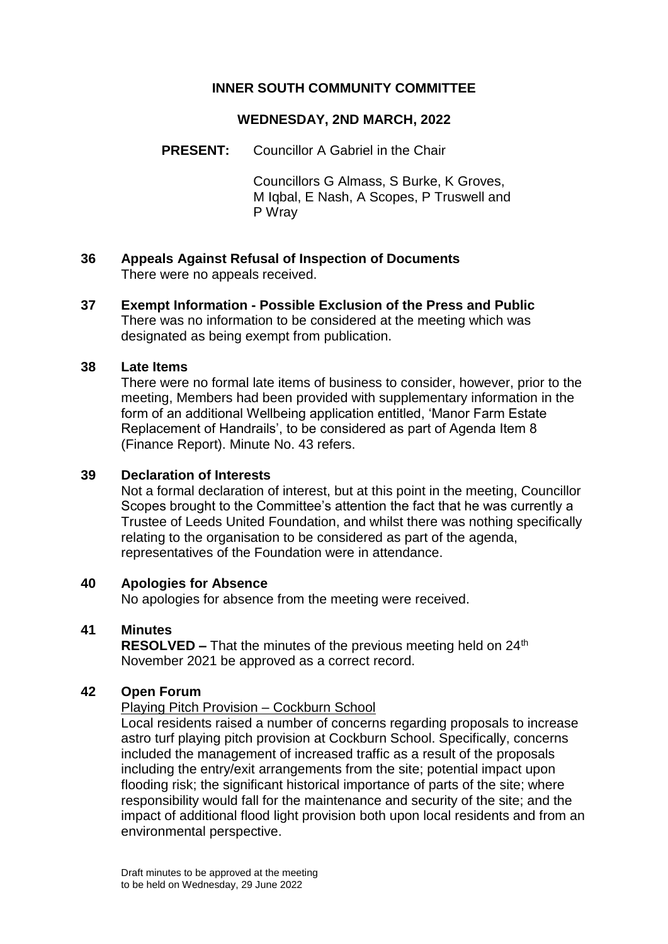# **INNER SOUTH COMMUNITY COMMITTEE**

## **WEDNESDAY, 2ND MARCH, 2022**

## **PRESENT:** Councillor A Gabriel in the Chair

Councillors G Almass, S Burke, K Groves, M Iqbal, E Nash, A Scopes, P Truswell and P Wray

- **36 Appeals Against Refusal of Inspection of Documents** There were no appeals received.
- **37 Exempt Information - Possible Exclusion of the Press and Public** There was no information to be considered at the meeting which was designated as being exempt from publication.

#### **38 Late Items**

There were no formal late items of business to consider, however, prior to the meeting, Members had been provided with supplementary information in the form of an additional Wellbeing application entitled, 'Manor Farm Estate Replacement of Handrails', to be considered as part of Agenda Item 8 (Finance Report). Minute No. 43 refers.

#### **39 Declaration of Interests**

Not a formal declaration of interest, but at this point in the meeting, Councillor Scopes brought to the Committee's attention the fact that he was currently a Trustee of Leeds United Foundation, and whilst there was nothing specifically relating to the organisation to be considered as part of the agenda, representatives of the Foundation were in attendance.

## **40 Apologies for Absence**

No apologies for absence from the meeting were received.

## **41 Minutes**

**RESOLVED –** That the minutes of the previous meeting held on 24<sup>th</sup> November 2021 be approved as a correct record.

## **42 Open Forum**

#### Playing Pitch Provision – Cockburn School

Local residents raised a number of concerns regarding proposals to increase astro turf playing pitch provision at Cockburn School. Specifically, concerns included the management of increased traffic as a result of the proposals including the entry/exit arrangements from the site; potential impact upon flooding risk; the significant historical importance of parts of the site; where responsibility would fall for the maintenance and security of the site; and the impact of additional flood light provision both upon local residents and from an environmental perspective.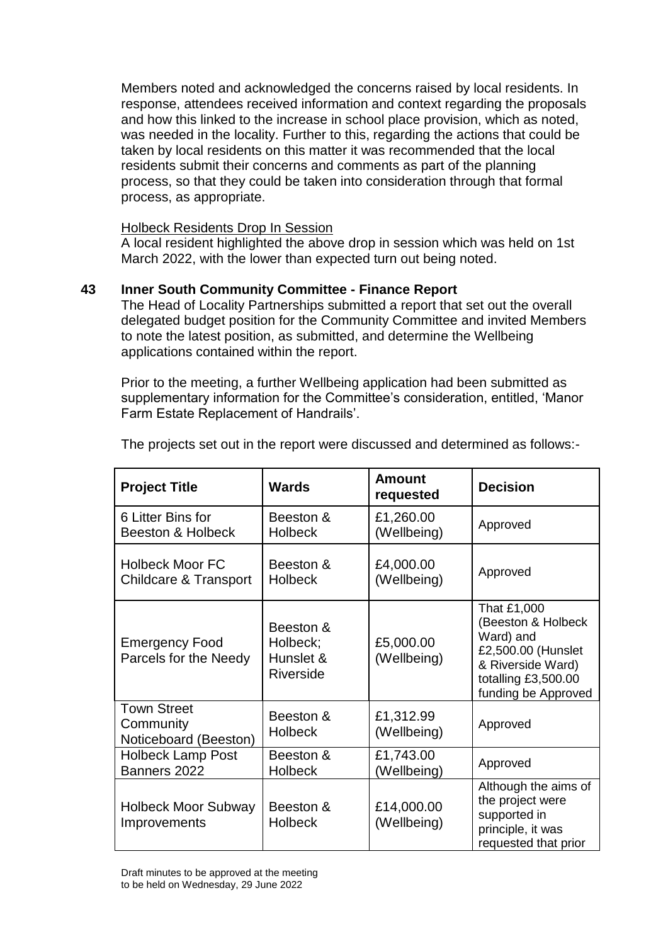Members noted and acknowledged the concerns raised by local residents. In response, attendees received information and context regarding the proposals and how this linked to the increase in school place provision, which as noted, was needed in the locality. Further to this, regarding the actions that could be taken by local residents on this matter it was recommended that the local residents submit their concerns and comments as part of the planning process, so that they could be taken into consideration through that formal process, as appropriate.

## Holbeck Residents Drop In Session

A local resident highlighted the above drop in session which was held on 1st March 2022, with the lower than expected turn out being noted.

# **43 Inner South Community Committee - Finance Report**

The Head of Locality Partnerships submitted a report that set out the overall delegated budget position for the Community Committee and invited Members to note the latest position, as submitted, and determine the Wellbeing applications contained within the report.

Prior to the meeting, a further Wellbeing application had been submitted as supplementary information for the Committee's consideration, entitled, 'Manor Farm Estate Replacement of Handrails'.

| <b>Project Title</b>                                       | <b>Wards</b>                                    | Amount<br>requested       | <b>Decision</b>                                                                                                                         |
|------------------------------------------------------------|-------------------------------------------------|---------------------------|-----------------------------------------------------------------------------------------------------------------------------------------|
| 6 Litter Bins for<br><b>Beeston &amp; Holbeck</b>          | Beeston &<br><b>Holbeck</b>                     | £1,260.00<br>(Wellbeing)  | Approved                                                                                                                                |
| <b>Holbeck Moor FC</b><br><b>Childcare &amp; Transport</b> | Beeston &<br><b>Holbeck</b>                     | £4,000.00<br>(Wellbeing)  | Approved                                                                                                                                |
| <b>Emergency Food</b><br>Parcels for the Needy             | Beeston &<br>Holbeck;<br>Hunslet &<br>Riverside | £5,000.00<br>(Wellbeing)  | That £1,000<br>(Beeston & Holbeck<br>Ward) and<br>£2,500.00 (Hunslet<br>& Riverside Ward)<br>totalling £3,500.00<br>funding be Approved |
| <b>Town Street</b><br>Community<br>Noticeboard (Beeston)   | Beeston &<br><b>Holbeck</b>                     | £1,312.99<br>(Wellbeing)  | Approved                                                                                                                                |
| <b>Holbeck Lamp Post</b><br>Banners 2022                   | Beeston &<br><b>Holbeck</b>                     | £1,743.00<br>(Wellbeing)  | Approved                                                                                                                                |
| <b>Holbeck Moor Subway</b><br>Improvements                 | Beeston &<br><b>Holbeck</b>                     | £14,000.00<br>(Wellbeing) | Although the aims of<br>the project were<br>supported in<br>principle, it was<br>requested that prior                                   |

The projects set out in the report were discussed and determined as follows:-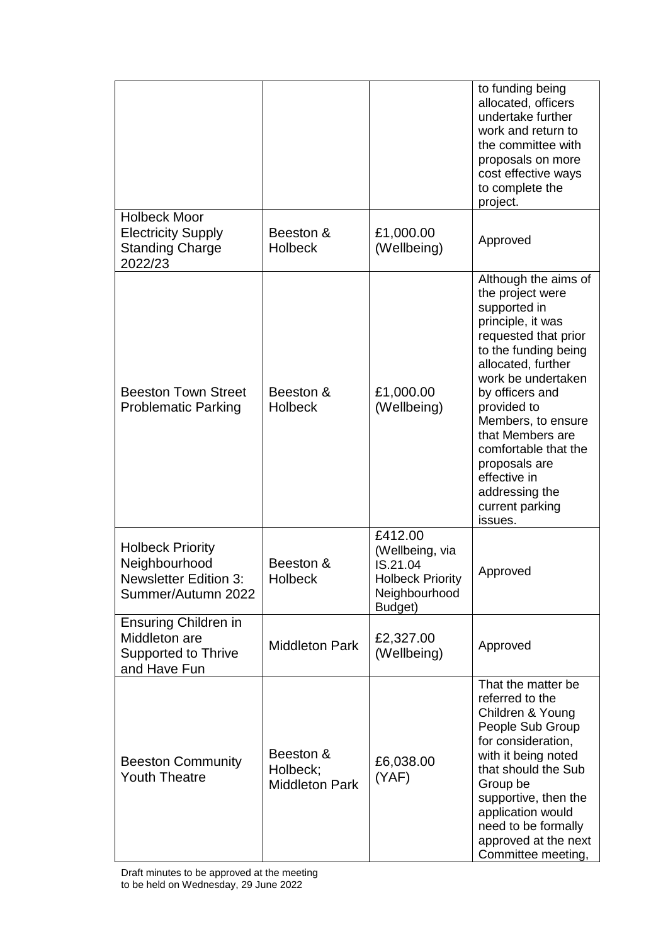|                                                                                                |                                                |                                                                                               | to funding being<br>allocated, officers<br>undertake further<br>work and return to<br>the committee with<br>proposals on more<br>cost effective ways<br>to complete the<br>project.                                                                                                                                                                            |
|------------------------------------------------------------------------------------------------|------------------------------------------------|-----------------------------------------------------------------------------------------------|----------------------------------------------------------------------------------------------------------------------------------------------------------------------------------------------------------------------------------------------------------------------------------------------------------------------------------------------------------------|
| <b>Holbeck Moor</b><br><b>Electricity Supply</b><br><b>Standing Charge</b><br>2022/23          | Beeston &<br><b>Holbeck</b>                    | £1,000.00<br>(Wellbeing)                                                                      | Approved                                                                                                                                                                                                                                                                                                                                                       |
| <b>Beeston Town Street</b><br><b>Problematic Parking</b>                                       | Beeston &<br><b>Holbeck</b>                    | £1,000.00<br>(Wellbeing)                                                                      | Although the aims of<br>the project were<br>supported in<br>principle, it was<br>requested that prior<br>to the funding being<br>allocated, further<br>work be undertaken<br>by officers and<br>provided to<br>Members, to ensure<br>that Members are<br>comfortable that the<br>proposals are<br>effective in<br>addressing the<br>current parking<br>issues. |
| <b>Holbeck Priority</b><br>Neighbourhood<br><b>Newsletter Edition 3:</b><br>Summer/Autumn 2022 | Beeston &<br><b>Holbeck</b>                    | £412.00<br>(Wellbeing, via<br>IS.21.04<br><b>Holbeck Priority</b><br>Neighbourhood<br>Budget) | Approved                                                                                                                                                                                                                                                                                                                                                       |
| <b>Ensuring Children in</b><br>Middleton are<br><b>Supported to Thrive</b><br>and Have Fun     | <b>Middleton Park</b>                          | £2,327.00<br>(Wellbeing)                                                                      | Approved                                                                                                                                                                                                                                                                                                                                                       |
| <b>Beeston Community</b><br><b>Youth Theatre</b>                                               | Beeston &<br>Holbeck;<br><b>Middleton Park</b> | £6,038.00<br>(YAF)                                                                            | That the matter be<br>referred to the<br>Children & Young<br>People Sub Group<br>for consideration,<br>with it being noted<br>that should the Sub<br>Group be<br>supportive, then the<br>application would<br>need to be formally<br>approved at the next<br>Committee meeting,                                                                                |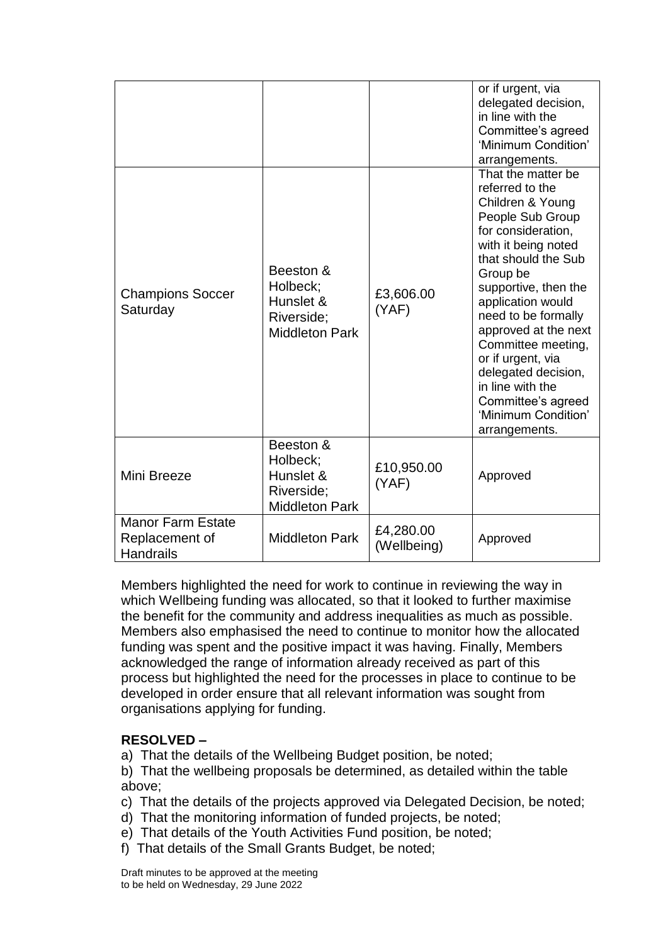|                                                                |                                                                           |                          | or if urgent, via<br>delegated decision,<br>in line with the<br>Committee's agreed<br>'Minimum Condition'<br>arrangements.                                                                                                                                                                                                                                                                                    |
|----------------------------------------------------------------|---------------------------------------------------------------------------|--------------------------|---------------------------------------------------------------------------------------------------------------------------------------------------------------------------------------------------------------------------------------------------------------------------------------------------------------------------------------------------------------------------------------------------------------|
| <b>Champions Soccer</b><br>Saturday                            | Beeston &<br>Holbeck;<br>Hunslet &<br>Riverside;<br><b>Middleton Park</b> | £3,606.00<br>(YAF)       | That the matter be<br>referred to the<br>Children & Young<br>People Sub Group<br>for consideration,<br>with it being noted<br>that should the Sub<br>Group be<br>supportive, then the<br>application would<br>need to be formally<br>approved at the next<br>Committee meeting,<br>or if urgent, via<br>delegated decision,<br>in line with the<br>Committee's agreed<br>'Minimum Condition'<br>arrangements. |
| Mini Breeze                                                    | Beeston &<br>Holbeck;<br>Hunslet &<br>Riverside;<br><b>Middleton Park</b> | £10,950.00<br>(YAF)      | Approved                                                                                                                                                                                                                                                                                                                                                                                                      |
| <b>Manor Farm Estate</b><br>Replacement of<br><b>Handrails</b> | <b>Middleton Park</b>                                                     | £4,280.00<br>(Wellbeing) | Approved                                                                                                                                                                                                                                                                                                                                                                                                      |

Members highlighted the need for work to continue in reviewing the way in which Wellbeing funding was allocated, so that it looked to further maximise the benefit for the community and address inequalities as much as possible. Members also emphasised the need to continue to monitor how the allocated funding was spent and the positive impact it was having. Finally, Members acknowledged the range of information already received as part of this process but highlighted the need for the processes in place to continue to be developed in order ensure that all relevant information was sought from organisations applying for funding.

## **RESOLVED –**

a) That the details of the Wellbeing Budget position, be noted;

b) That the wellbeing proposals be determined, as detailed within the table above;

- c) That the details of the projects approved via Delegated Decision, be noted;
- d) That the monitoring information of funded projects, be noted;
- e) That details of the Youth Activities Fund position, be noted;
- f) That details of the Small Grants Budget, be noted;

Draft minutes to be approved at the meeting to be held on Wednesday, 29 June 2022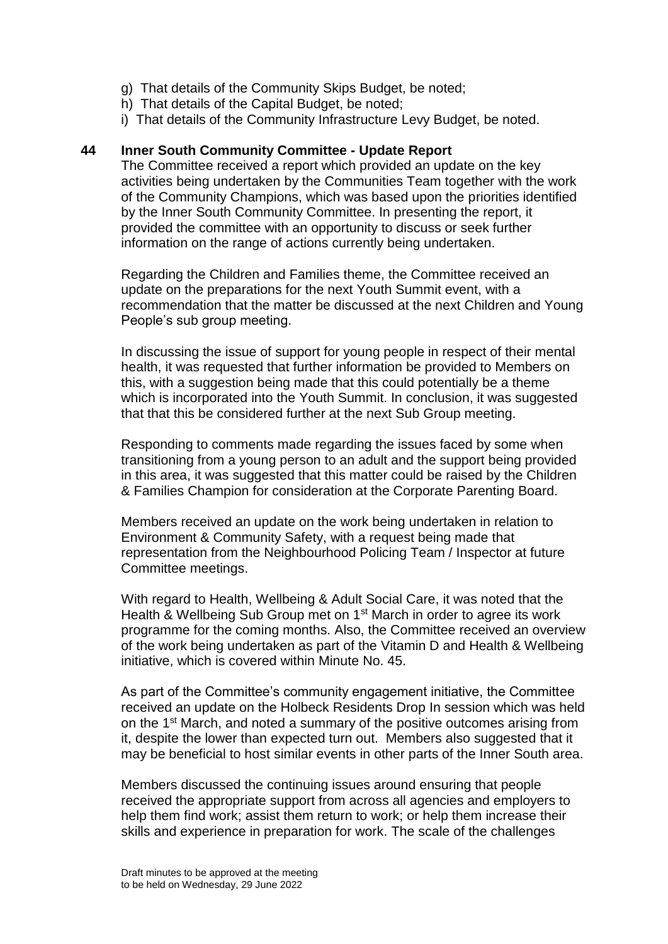- g) That details of the Community Skips Budget, be noted;
- h) That details of the Capital Budget, be noted;
- i) That details of the Community Infrastructure Levy Budget, be noted.

#### **44 Inner South Community Committee - Update Report**

The Committee received a report which provided an update on the key activities being undertaken by the Communities Team together with the work of the Community Champions, which was based upon the priorities identified by the Inner South Community Committee. In presenting the report, it provided the committee with an opportunity to discuss or seek further information on the range of actions currently being undertaken.

Regarding the Children and Families theme, the Committee received an update on the preparations for the next Youth Summit event, with a recommendation that the matter be discussed at the next Children and Young People's sub group meeting.

In discussing the issue of support for young people in respect of their mental health, it was requested that further information be provided to Members on this, with a suggestion being made that this could potentially be a theme which is incorporated into the Youth Summit. In conclusion, it was suggested that that this be considered further at the next Sub Group meeting.

Responding to comments made regarding the issues faced by some when transitioning from a young person to an adult and the support being provided in this area, it was suggested that this matter could be raised by the Children & Families Champion for consideration at the Corporate Parenting Board.

Members received an update on the work being undertaken in relation to Environment & Community Safety, with a request being made that representation from the Neighbourhood Policing Team / Inspector at future Committee meetings.

With regard to Health, Wellbeing & Adult Social Care, it was noted that the Health & Wellbeing Sub Group met on 1<sup>st</sup> March in order to agree its work programme for the coming months. Also, the Committee received an overview of the work being undertaken as part of the Vitamin D and Health & Wellbeing initiative, which is covered within Minute No. 45.

As part of the Committee's community engagement initiative, the Committee received an update on the Holbeck Residents Drop In session which was held on the 1st March, and noted a summary of the positive outcomes arising from it, despite the lower than expected turn out. Members also suggested that it may be beneficial to host similar events in other parts of the Inner South area.

Members discussed the continuing issues around ensuring that people received the appropriate support from across all agencies and employers to help them find work; assist them return to work; or help them increase their skills and experience in preparation for work. The scale of the challenges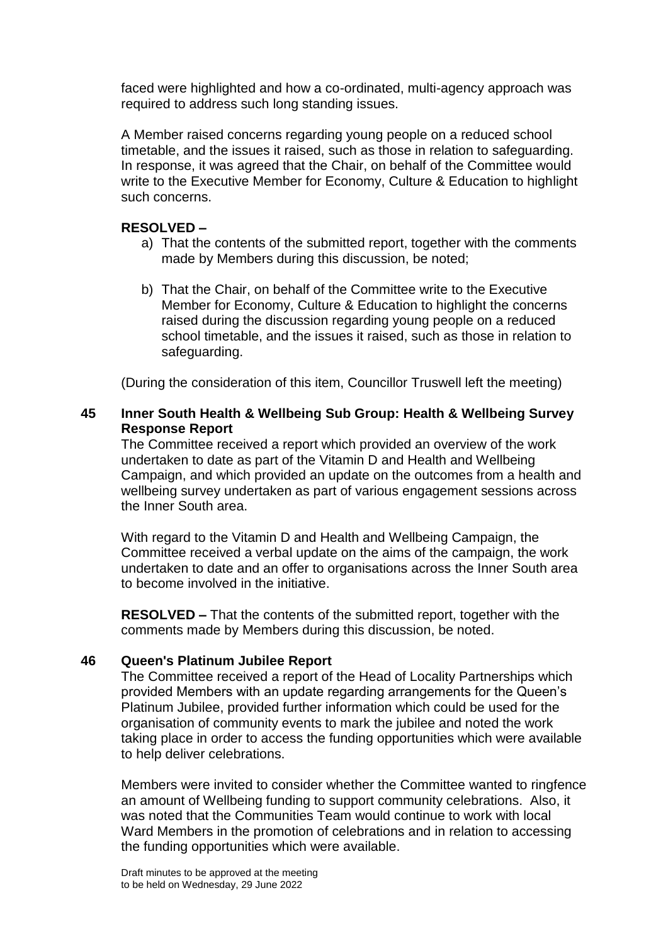faced were highlighted and how a co-ordinated, multi-agency approach was required to address such long standing issues.

A Member raised concerns regarding young people on a reduced school timetable, and the issues it raised, such as those in relation to safeguarding. In response, it was agreed that the Chair, on behalf of the Committee would write to the Executive Member for Economy, Culture & Education to highlight such concerns.

# **RESOLVED –**

- a) That the contents of the submitted report, together with the comments made by Members during this discussion, be noted;
- b) That the Chair, on behalf of the Committee write to the Executive Member for Economy, Culture & Education to highlight the concerns raised during the discussion regarding young people on a reduced school timetable, and the issues it raised, such as those in relation to safeguarding.

(During the consideration of this item, Councillor Truswell left the meeting)

## **45 Inner South Health & Wellbeing Sub Group: Health & Wellbeing Survey Response Report**

The Committee received a report which provided an overview of the work undertaken to date as part of the Vitamin D and Health and Wellbeing Campaign, and which provided an update on the outcomes from a health and wellbeing survey undertaken as part of various engagement sessions across the Inner South area.

With regard to the Vitamin D and Health and Wellbeing Campaign, the Committee received a verbal update on the aims of the campaign, the work undertaken to date and an offer to organisations across the Inner South area to become involved in the initiative.

**RESOLVED –** That the contents of the submitted report, together with the comments made by Members during this discussion, be noted.

## **46 Queen's Platinum Jubilee Report**

The Committee received a report of the Head of Locality Partnerships which provided Members with an update regarding arrangements for the Queen's Platinum Jubilee, provided further information which could be used for the organisation of community events to mark the jubilee and noted the work taking place in order to access the funding opportunities which were available to help deliver celebrations.

Members were invited to consider whether the Committee wanted to ringfence an amount of Wellbeing funding to support community celebrations. Also, it was noted that the Communities Team would continue to work with local Ward Members in the promotion of celebrations and in relation to accessing the funding opportunities which were available.